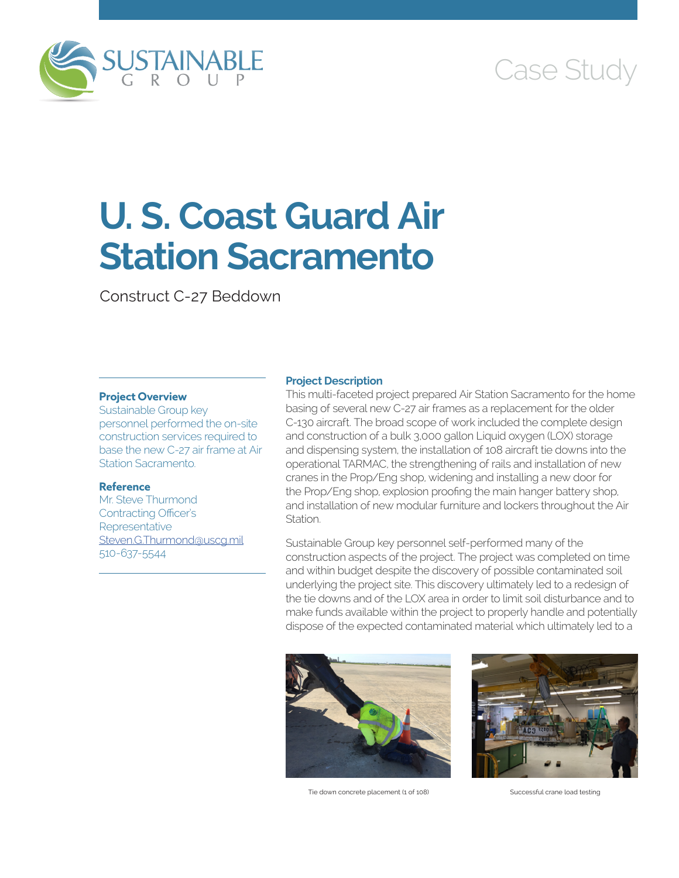

# Case Study

# **U. S. Coast Guard Air Station Sacramento**

Construct C-27 Beddown

# **Project Overview**

Sustainable Group key personnel performed the on-site construction services required to base the new C-27 air frame at Air Station Sacramento.

#### **Reference**

Mr. Steve Thurmond Contracting Officer's **Representative** [Steven.G.Thurmond@uscg.mil](mailto:Steven.G.Thurmond@uscg.mil) 510-637-5544

### **Project Description**

This multi-faceted project prepared Air Station Sacramento for the home basing of several new C-27 air frames as a replacement for the older C-130 aircraft. The broad scope of work included the complete design and construction of a bulk 3,000 gallon Liquid oxygen (LOX) storage and dispensing system, the installation of 108 aircraft tie downs into the operational TARMAC, the strengthening of rails and installation of new cranes in the Prop/Eng shop, widening and installing a new door for the Prop/Eng shop, explosion proofing the main hanger battery shop, and installation of new modular furniture and lockers throughout the Air **Station** 

Sustainable Group key personnel self-performed many of the construction aspects of the project. The project was completed on time and within budget despite the discovery of possible contaminated soil underlying the project site. This discovery ultimately led to a redesign of the tie downs and of the LOX area in order to limit soil disturbance and to make funds available within the project to properly handle and potentially dispose of the expected contaminated material which ultimately led to a



Tie down concrete placement (1 of 108) Successful crane load testing